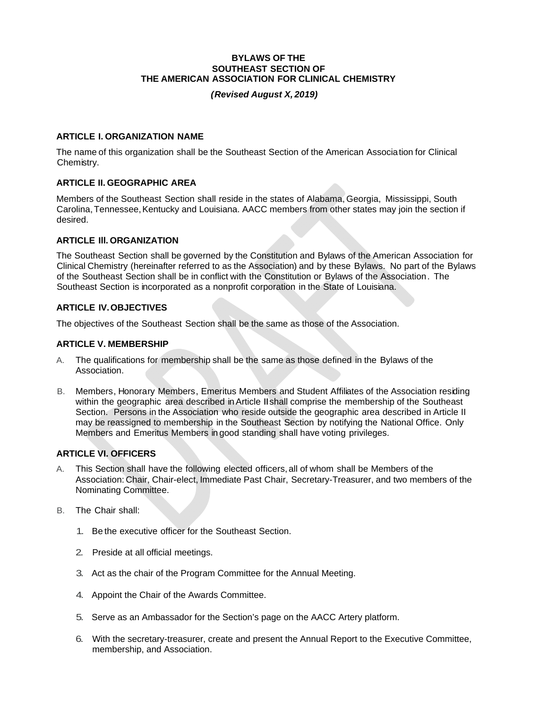#### **BYLAWS OF THE SOUTHEAST SECTION OF THE AMERICAN ASSOCIATION FOR CLINICAL CHEMISTRY**

#### *( Revised August X, 2019)*

### **ARTICLE I. ORGANIZATION NAME**

The name of this organization shall be the Southeast Section of the American Association for Clinical Chemistry.

### **ARTICLE II. GEOGRAPHIC AREA**

Members of the Southeast Section shall reside in the states of Alabama, Georgia, Mississippi, South Carolina, Tennessee, Kentucky and Louisiana. AACC members from other states may join the section if desired.

### **ARTICLE Ill. ORGANIZATION**

The Southeast Section shall be governed by the Constitution and Bylaws of the American Association for Clinical Chemistry (hereinafter referred to as the Association) and by these Bylaws. No part of the Bylaws of the Southeast Section shall be in conflict with the Constitution or Bylaws of the Association. The Southeast Section is incorporated as a nonprofit corporation in the State of Louisiana.

### **ARTICLE IV. OBJECTIVES**

The objectives of the Southeast Section shall be the same as those of the Association.

### **ARTICLE V. MEMBERSHIP**

- A. The qualifications for membership shall be the same as those defined in the Bylaws of the Association.
- B. Members, Honorary Members, Emeritus Members and Student Affiliates of the Association residing within the geographic area described in Article II shall comprise the membership of the Southeast Section. Persons in the Association who reside outside the geographic area described in Article II may be reassigned to membership in the Southeast Section by notifying the National Office. Only Members and Emeritus Members in good standing shall have voting privileges.

# **ARTICLE VI. OFFICERS**

- A. This Section shall have the following elected officers, all of whom shall be Members of the Association: Chair, Chair-elect, Immediate Past Chair, Secretary-Treasurer, and two members of the Nominating Committee.
- B. The Chair shall:
	- 1. Be the executive officer for the Southeast Section.
	- 2. Preside at all official meetings.
	- 3. Act as the chair of the Program Committee for the Annual Meeting.
	- 4. Appoint the Chair of the Awards Committee.
	- 5. Serve as an Ambassador for the Section's page on the AACC Artery platform.
	- 6. With the secretary-treasurer, create and present the Annual Report to the Executive Committee, membership, and Association.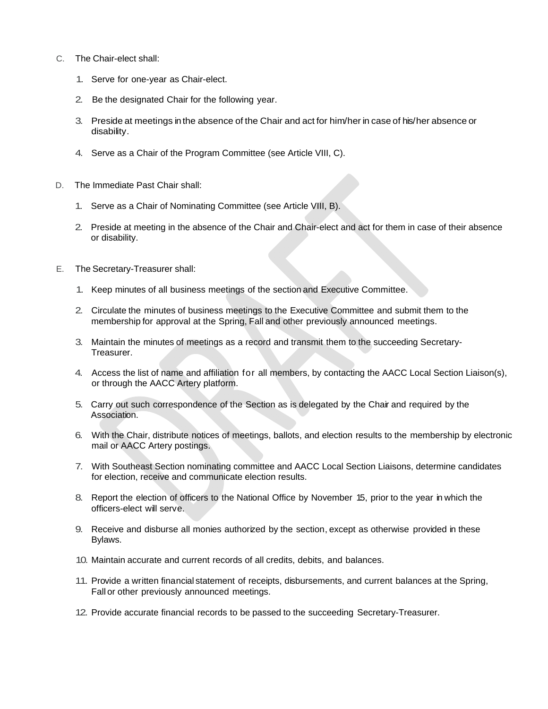- C. The Chair-elect shall:
	- 1. Serve for one-year as Chair-elect.
	- 2. Be the designated Chair for the following year.
	- 3. Preside at meetings in the absence of the Chair and act for him/her in case of his/her absence or disability.
	- 4. Serve as a Chair of the Program Committee (see Article VIII, C).
- D. The Immediate Past Chair shall:
	- 1. Serve as a Chair of Nominating Committee (see Article VIII, B).
	- 2. Preside at meeting in the absence of the Chair and Chair-elect and act for them in case of their absence or disability.
- E. The Secretary-Treasurer shall:
	- 1. Keep minutes of all business meetings of the section and Executive Committee.
	- 2. Circulate the minutes of business meetings to the Executive Committee and submit them to the membership for approval at the Spring, Fall and other previously announced meetings.
	- 3. Maintain the minutes of meetings as a record and transmit them to the succeeding Secretary-Treasurer.
	- 4. Access the list of name and affiliation for all members, by contacting the AACC Local Section Liaison(s), or through the AACC Artery platform.
	- 5. Carry out such correspondence of the Section as is delegated by the Chair and required by the Association.
	- 6. With the Chair, distribute notices of meetings, ballots, and election results to the membership by electronic mail or AACC Artery postings.
	- 7. With Southeast Section nominating committee and AACC Local Section Liaisons, determine candidates for election, receive and communicate election results.
	- 8. Report the election of officers to the National Office by November 15, prior to the year in which the officers-elect will serve.
	- 9. Receive and disburse all monies authorized by the section, except as otherwise provided in these Bylaws.
	- 10. Maintain accurate and current records of all credits, debits, and balances.
	- 11. Provide a written financial statement of receipts, disbursements, and current balances at the Spring, Fall or other previously announced meetings.
	- 12. Provide accurate financial records to be passed to the succeeding Secretary-Treasurer.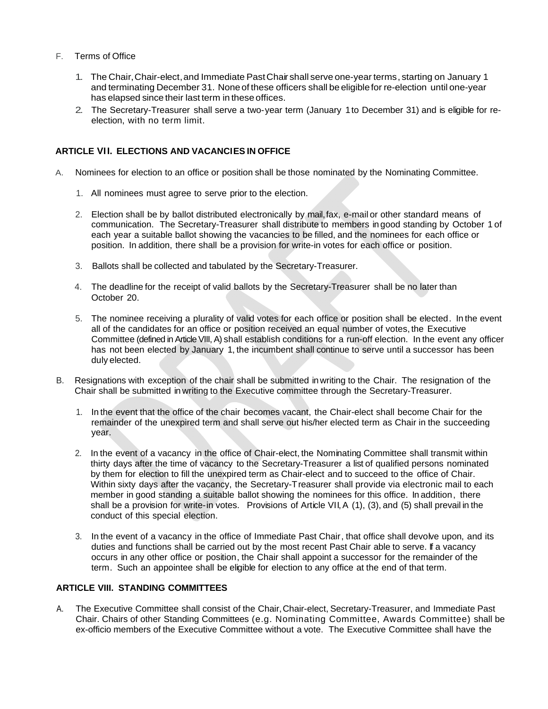### F. Terms of Office

- 1. The Chair, Chair-elect, and Immediate Past Chair shall serve one-year terms, starting on January 1 and terminating December 31. None of these officers shall be eligible for re-election until one-year has elapsed since their last term in these offices.
- 2. The Secretary-Treasurer shall serve a two-year term (January 1 to December 31) and is eligible for reelection, with no term limit.

## **ARTICLE VI I. ELECTIONS AND VACANCIES IN OFFICE**

- A. Nominees for election to an office or position shall be those nominated by the Nominating Committee.
	- 1. All nominees must agree to serve prior to the election.
	- 2. Election shall be by ballot distributed electronically by mail, fax, e-mail or other standard means of communication. The Secretary-Treasurer shall distribute to members in good standing by October 1 of each year a suitable ballot showing the vacancies to be filled, and the nominees for each office or position. In addition, there shall be a provision for write-in votes for each office or position.
	- 3. Ballots shall be collected and tabulated by the Secretary-Treasurer.
	- 4. The deadline for the receipt of valid ballots by the Secretary-Treasurer shall be no later than October 20.
	- 5. The nominee receiving a plurality of valid votes for each office or position shall be elected. In the event all of the candidates for an office or position received an equal number of votes, the Executive Committee (defined in Article VIII, A) shall establish conditions for a run-off election. In the event any officer has not been elected by January 1, the incumbent shall continue to serve until a successor has been duly elected.
- B. Resignations with exception of the chair shall be submitted in writing to the Chair. The resignation of the Chair shall be submitted in writing to the Executive committee through the Secretary-Treasurer.
	- 1. In the event that the office of the chair becomes vacant, the Chair-elect shall become Chair for the remainder of the unexpired term and shall serve out his/her elected term as Chair in the succeeding year.
	- 2. In the event of a vacancy in the office of Chair-elect, the Nominating Committee shall transmit within thirty days after the time of vacancy to the Secretary-Treasurer a list of qualified persons nominated by them for election to fill the unexpired term as Chair-elect and to succeed to the office of Chair. Within sixty days after the vacancy, the Secretary-Treasurer shall provide via electronic mail to each member in good standing a suitable ballot showing the nominees for this office. In addition, there shall be a provision for write-in votes. Provisions of Article VII, A (1), (3), and (5) shall prevail in the conduct of this special election.
	- 3. In the event of a vacancy in the office of Immediate Past Chair, that office shall devolve upon, and its duties and functions shall be carried out by the most recent Past Chair able to serve. If a vacancy occurs in any other office or position, the Chair shall appoint a successor for the remainder of the term. Such an appointee shall be eligible for election to any office at the end of that term.

# **ARTICLE VIII. STANDING COMMITTEES**

A. The Executive Committee shall consist of the Chair, Chair-elect, Secretary-Treasurer, and Immediate Past Chair. Chairs of other Standing Committees (e.g. Nominating Committee, Awards Committee) shall be ex-officio members of the Executive Committee without a vote. The Executive Committee shall have the